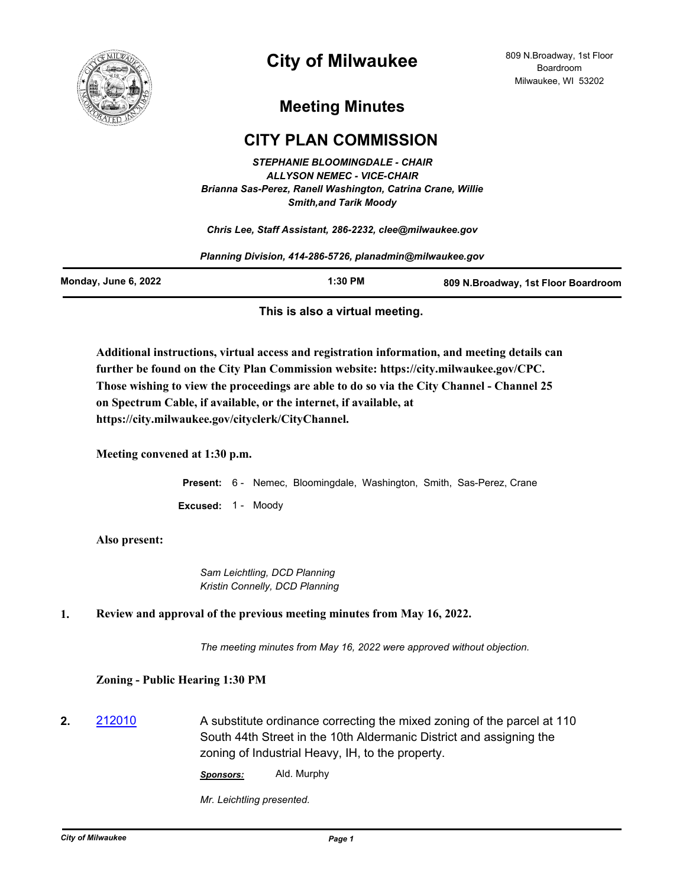

# **City of Milwaukee**

## **Meeting Minutes**

### **CITY PLAN COMMISSION**

*STEPHANIE BLOOMINGDALE - CHAIR ALLYSON NEMEC - VICE-CHAIR Brianna Sas-Perez, Ranell Washington, Catrina Crane, Willie Smith,and Tarik Moody*

*Chris Lee, Staff Assistant, 286-2232, clee@milwaukee.gov*

*Planning Division, 414-286-5726, planadmin@milwaukee.gov*

| Monday, June 6, 2022 | 1:30 PM | 809 N.Broadway, 1st Floor Boardroom |
|----------------------|---------|-------------------------------------|
|                      |         |                                     |

#### **This is also a virtual meeting.**

**Additional instructions, virtual access and registration information, and meeting details can further be found on the City Plan Commission website: https://city.milwaukee.gov/CPC. Those wishing to view the proceedings are able to do so via the City Channel - Channel 25 on Spectrum Cable, if available, or the internet, if available, at https://city.milwaukee.gov/cityclerk/CityChannel.**

**Meeting convened at 1:30 p.m.**

**Present:** 6 - Nemec, Bloomingdale, Washington, Smith, Sas-Perez, Crane **Excused:** 1 - Moody

#### **Also present:**

*Sam Leichtling, DCD Planning Kristin Connelly, DCD Planning*

#### **1. Review and approval of the previous meeting minutes from May 16, 2022.**

*The meeting minutes from May 16, 2022 were approved without objection.*

#### **Zoning - Public Hearing 1:30 PM**

**2.** [212010](http://milwaukee.legistar.com/gateway.aspx?m=l&id=/matter.aspx?key=61941) A substitute ordinance correcting the mixed zoning of the parcel at 110 South 44th Street in the 10th Aldermanic District and assigning the zoning of Industrial Heavy, IH, to the property.

*Sponsors:* Ald. Murphy

*Mr. Leichtling presented.*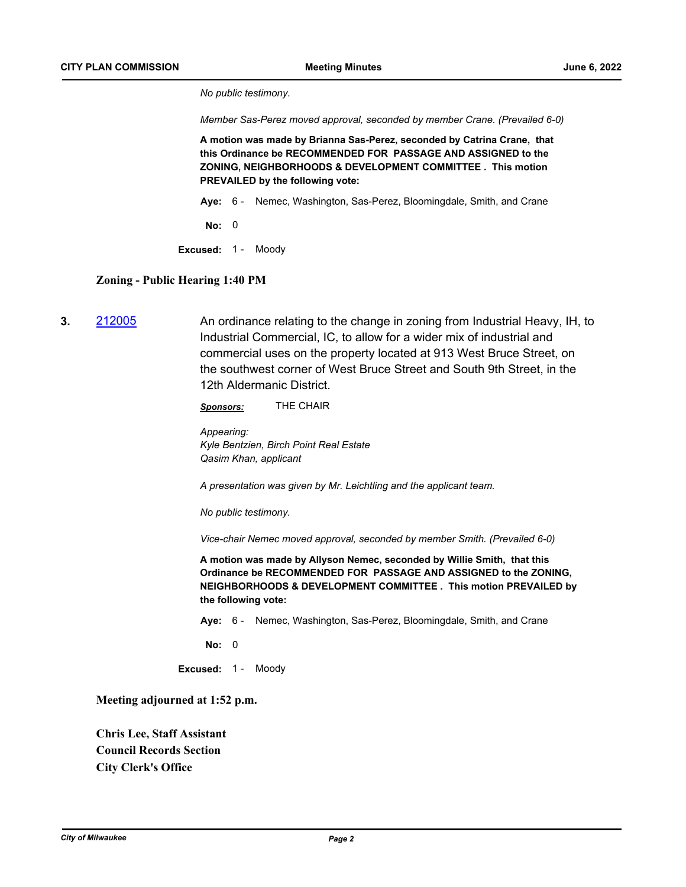*No public testimony.*

*Member Sas-Perez moved approval, seconded by member Crane. (Prevailed 6-0)*

**A motion was made by Brianna Sas-Perez, seconded by Catrina Crane, that this Ordinance be RECOMMENDED FOR PASSAGE AND ASSIGNED to the ZONING, NEIGHBORHOODS & DEVELOPMENT COMMITTEE . This motion PREVAILED by the following vote:**

**Aye:** 6 - Nemec, Washington, Sas-Perez, Bloomingdale, Smith, and Crane

**No:** 0

**Excused:** 1 - Moody

#### **Zoning - Public Hearing 1:40 PM**

**3.** [212005](http://milwaukee.legistar.com/gateway.aspx?m=l&id=/matter.aspx?key=61936) An ordinance relating to the change in zoning from Industrial Heavy, IH, to Industrial Commercial, IC, to allow for a wider mix of industrial and commercial uses on the property located at 913 West Bruce Street, on the southwest corner of West Bruce Street and South 9th Street, in the 12th Aldermanic District.

*Sponsors:* THE CHAIR

*Appearing: Kyle Bentzien, Birch Point Real Estate Qasim Khan, applicant*

*A presentation was given by Mr. Leichtling and the applicant team.*

*No public testimony.*

*Vice-chair Nemec moved approval, seconded by member Smith. (Prevailed 6-0)*

**A motion was made by Allyson Nemec, seconded by Willie Smith, that this Ordinance be RECOMMENDED FOR PASSAGE AND ASSIGNED to the ZONING, NEIGHBORHOODS & DEVELOPMENT COMMITTEE . This motion PREVAILED by the following vote:**

**Aye:** 6 - Nemec, Washington, Sas-Perez, Bloomingdale, Smith, and Crane

**No:** 0

**Excused:** 1 - Moody

**Meeting adjourned at 1:52 p.m.**

**Chris Lee, Staff Assistant Council Records Section City Clerk's Office**